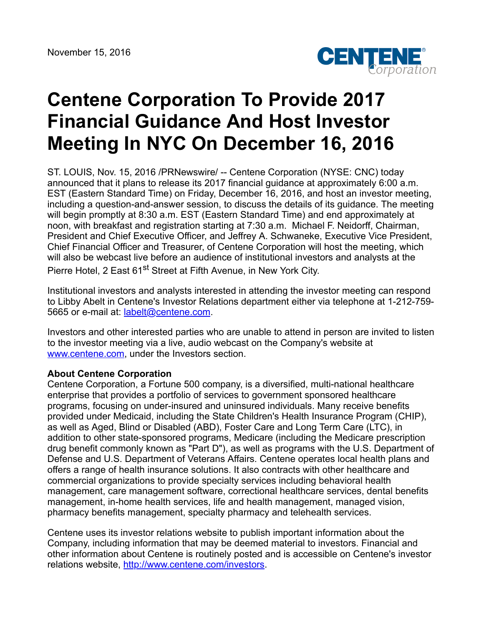

## **Centene Corporation To Provide 2017 Financial Guidance And Host Investor Meeting In NYC On December 16, 2016**

ST. LOUIS, Nov. 15, 2016 /PRNewswire/ -- Centene Corporation (NYSE: CNC) today announced that it plans to release its 2017 financial guidance at approximately 6:00 a.m. EST (Eastern Standard Time) on Friday, December 16, 2016, and host an investor meeting, including a question-and-answer session, to discuss the details of its guidance. The meeting will begin promptly at 8:30 a.m. EST (Eastern Standard Time) and end approximately at noon, with breakfast and registration starting at 7:30 a.m. Michael F. Neidorff, Chairman, President and Chief Executive Officer, and Jeffrey A. Schwaneke, Executive Vice President, Chief Financial Officer and Treasurer, of Centene Corporation will host the meeting, which will also be webcast live before an audience of institutional investors and analysts at the Pierre Hotel, 2 East 61<sup>st</sup> Street at Fifth Avenue, in New York City.

Institutional investors and analysts interested in attending the investor meeting can respond to Libby Abelt in Centene's Investor Relations department either via telephone at 1-212-759- 5665 or e-mail at: [labelt@centene.com](mailto:labelt@centene.com).

Investors and other interested parties who are unable to attend in person are invited to listen to the investor meeting via a live, audio webcast on the Company's website at [www.centene.com,](http://www.centene.com/) under the Investors section.

## **About Centene Corporation**

Centene Corporation, a Fortune 500 company, is a diversified, multi-national healthcare enterprise that provides a portfolio of services to government sponsored healthcare programs, focusing on under-insured and uninsured individuals. Many receive benefits provided under Medicaid, including the State Children's Health Insurance Program (CHIP), as well as Aged, Blind or Disabled (ABD), Foster Care and Long Term Care (LTC), in addition to other state-sponsored programs, Medicare (including the Medicare prescription drug benefit commonly known as "Part D"), as well as programs with the U.S. Department of Defense and U.S. Department of Veterans Affairs. Centene operates local health plans and offers a range of health insurance solutions. It also contracts with other healthcare and commercial organizations to provide specialty services including behavioral health management, care management software, correctional healthcare services, dental benefits management, in-home health services, life and health management, managed vision, pharmacy benefits management, specialty pharmacy and telehealth services.

Centene uses its investor relations website to publish important information about the Company, including information that may be deemed material to investors. Financial and other information about Centene is routinely posted and is accessible on Centene's investor relations website, <http://www.centene.com/investors>.